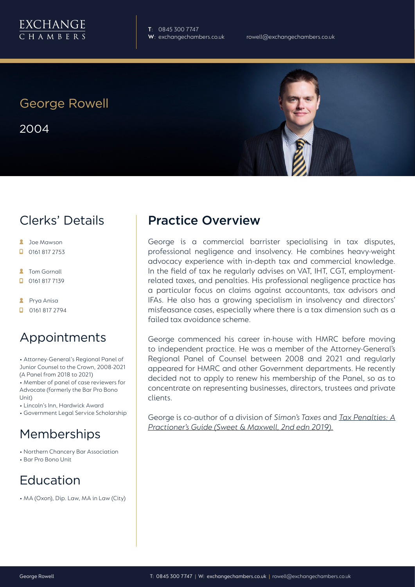**T**: 0845 300 7747

George Rowell

2004

## Clerks' Details

- **A** Joe Mawson
- $\Box$  0161 817 2753
- **2** Tom Gornall
- 0161 817 7139

**A** Prya Anisa

**D** 0161 817 2794

#### Appointments

• Attorney-General's Regional Panel of Junior Counsel to the Crown, 2008-2021 (A Panel from 2018 to 2021)

• Member of panel of case reviewers for Advocate (formerly the Bar Pro Bono Unit)

- Lincoln's Inn, Hardwick Award
- Government Legal Service Scholarship

#### Memberships

- Northern Chancery Bar Association
- Bar Pro Bono Unit

# Education

• MA (Oxon), Dip. Law, MA in Law (City)

## Practice Overview

George is a commercial barrister specialising in tax disputes, professional negligence and insolvency. He combines heavy-weight advocacy experience with in-depth tax and commercial knowledge. In the field of tax he regularly advises on VAT, IHT, CGT, employmentrelated taxes, and penalties. His professional negligence practice has a particular focus on claims against accountants, tax advisors and IFAs. He also has a growing specialism in insolvency and directors' misfeasance cases, especially where there is a tax dimension such as a failed tax avoidance scheme.

George commenced his career in-house with HMRC before moving to independent practice. He was a member of the Attorney-General's Regional Panel of Counsel between 2008 and 2021 and regularly appeared for HMRC and other Government departments. He recently decided not to apply to renew his membership of the Panel, so as to concentrate on representing businesses, directors, trustees and private clients.

George is co-author of a division of *Simon's Taxes* and *Tax Penalties: A Practioner's Guide (Sweet & Maxwell, 2nd edn 2019).*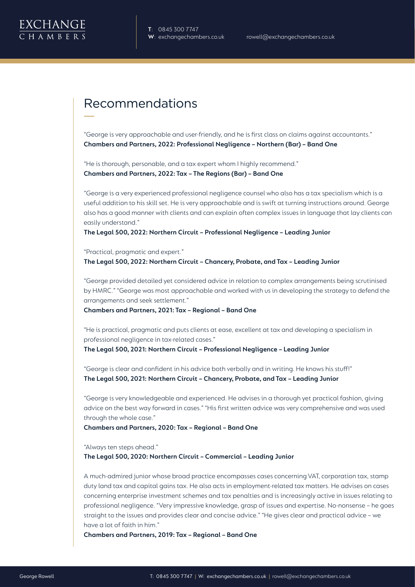# Recommendations

"George is very approachable and user-friendly, and he is first class on claims against accountants." **Chambers and Partners, 2022: Professional Negligence – Northern (Bar) – Band One**

"He is thorough, personable, and a tax expert whom I highly recommend." **Chambers and Partners, 2022: Tax – The Regions (Bar) – Band One**

"George is a very experienced professional negligence counsel who also has a tax specialism which is a useful addition to his skill set. He is very approachable and is swift at turning instructions around. George also has a good manner with clients and can explain often complex issues in language that lay clients can easily understand."

**The Legal 500, 2022: Northern Circuit – Professional Negligence – Leading Junior**

"Practical, pragmatic and expert."

**The Legal 500, 2022: Northern Circuit – Chancery, Probate, and Tax – Leading Junior**

"George provided detailed yet considered advice in relation to complex arrangements being scrutinised by HMRC." "George was most approachable and worked with us in developing the strategy to defend the arrangements and seek settlement."

**Chambers and Partners, 2021: Tax – Regional – Band One**

"He is practical, pragmatic and puts clients at ease, excellent at tax and developing a specialism in professional negligence in tax-related cases."

**The Legal 500, 2021: Northern Circuit – Professional Negligence – Leading Junior**

"George is clear and confident in his advice both verbally and in writing. He knows his stuff!" **The Legal 500, 2021: Northern Circuit – Chancery, Probate, and Tax – Leading Junior**

"George is very knowledgeable and experienced. He advises in a thorough yet practical fashion, giving advice on the best way forward in cases." "His first written advice was very comprehensive and was used through the whole case."

**Chambers and Partners, 2020: Tax – Regional – Band One**

"Always ten steps ahead."

**The Legal 500, 2020: Northern Circuit – Commercial – Leading Junior**

A much-admired junior whose broad practice encompasses cases concerning VAT, corporation tax, stamp duty land tax and capital gains tax. He also acts in employment-related tax matters. He advises on cases concerning enterprise investment schemes and tax penalties and is increasingly active in issues relating to professional negligence. "Very impressive knowledge, grasp of issues and expertise. No-nonsense – he goes straight to the issues and provides clear and concise advice." "He gives clear and practical advice – we have a lot of faith in him."

**Chambers and Partners, 2019: Tax – Regional – Band One**